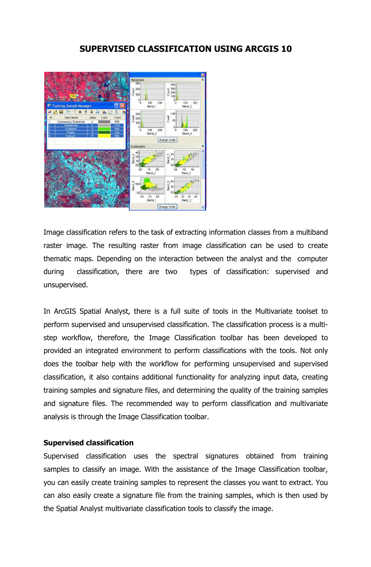# **SUPERVISED CLASSIFICATION USING ARCGIS 10**



Image classification refers to the task of extracting information classes from a multiband raster image. The resulting raster from image classification can be used to create thematic maps. Depending on the interaction between the analyst and the computer during classification, there are two types of classification: supervised and unsupervised.

In ArcGIS Spatial Analyst, there is a full suite of tools in the Multivariate toolset to perform supervised and unsupervised classification. The classification process is a multistep workflow, therefore, the Image Classification toolbar has been developed to provided an integrated environment to perform classifications with the tools. Not only does the toolbar help with the workflow for performing unsupervised and supervised classification, it also contains additional functionality for analyzing input data, creating training samples and signature files, and determining the quality of the training samples and signature files. The recommended way to perform classification and multivariate analysis is through the Image Classification toolbar.

### **Supervised classification**

Supervised classification uses the spectral signatures obtained from training samples to classify an image. With the assistance of the Image Classification toolbar, you can easily create training samples to represent the classes you want to extract. You can also easily create a signature file from the training samples, which is then used by the Spatial Analyst multivariate classification tools to classify the image.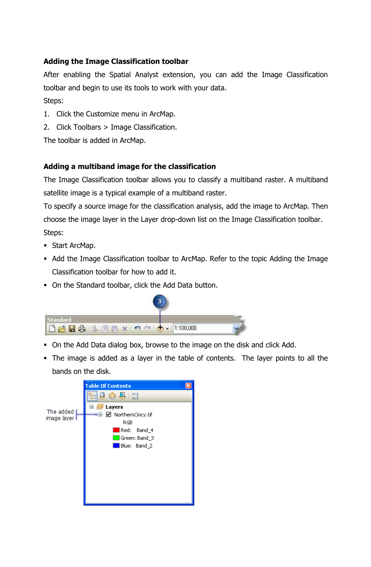# **Adding the Image Classification toolbar**

After enabling the Spatial Analyst extension, you can add the Image Classification toolbar and begin to use its tools to work with your data. Steps:

- 1. Click the Customize menu in ArcMap.
- 2. Click Toolbars > Image Classification.

The toolbar is added in ArcMap.

# **Adding a multiband image for the classification**

The Image Classification toolbar allows you to classify a multiband raster. A multiband satellite image is a typical example of a multiband raster.

To specify a source image for the classification analysis, add the image to ArcMap. Then choose the image layer in the Layer drop-down list on the Image Classification toolbar. Steps:

- **Start ArcMap.**
- Add the Image Classification toolbar to ArcMap. Refer to the topic Adding the Image Classification toolbar for how to add it.
- On the Standard toolbar, click the Add Data button.



- On the Add Data dialog box, browse to the image on the disk and click Add.
- The image is added as a layer in the table of contents. The layer points to all the bands on the disk.

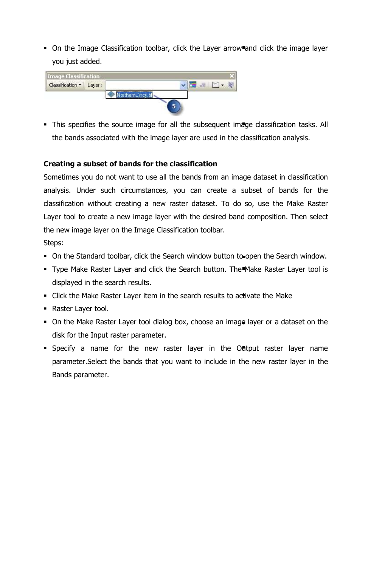• On the Image Classification toolbar, click the Layer arrow and click the image layer you just added.



• This specifies the source image for all the subsequent image classification tasks. All the bands associated with the image layer are used in the classification analysis.

## **Creating a subset of bands for the classification**

Sometimes you do not want to use all the bands from an image dataset in classification analysis. Under such circumstances, you can create a subset of bands for the classification without creating a new raster dataset. To do so, use the Make Raster Layer tool to create a new image layer with the desired band composition. Then select the new image layer on the Image Classification toolbar.

Steps:

- On the Standard toolbar, click the Search window button to open the Search window.
- **Type Make Raster Layer and click the Search button. The Make Raster Layer tool is** displayed in the search results.
- Click the Make Raster Layer item in the search results to activate the Make
- Raster Layer tool.
- On the Make Raster Layer tool dialog box, choose an image layer or a dataset on the disk for the Input raster parameter.
- Specify a name for the new raster layer in the Output raster layer name parameter.Select the bands that you want to include in the new raster layer in the Bands parameter.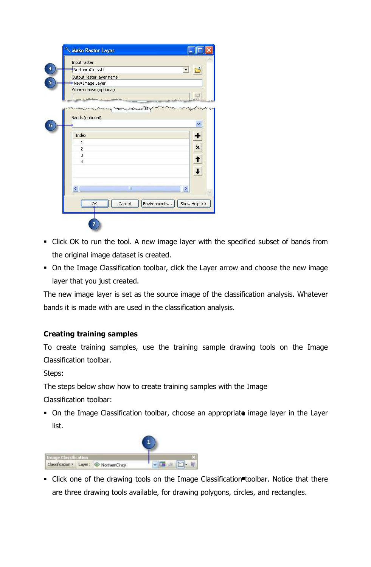| Input raster             |        |                              |
|--------------------------|--------|------------------------------|
| NorthernCincy, tif       |        |                              |
| Output raster layer name |        |                              |
| New Image Layer          |        |                              |
| Where clause (optional)  |        |                              |
|                          |        |                              |
|                          |        |                              |
| Index                    |        |                              |
| $\mathbf{1}$             |        |                              |
| $\overline{c}$           |        |                              |
| 3                        |        |                              |
| $\overline{4}$           |        |                              |
|                          |        |                              |
|                          |        |                              |
|                          | Ш      |                              |
| $\epsilon$               |        |                              |
| ОK                       | Cancel | Environments<br>Show Help >> |

- Click OK to run the tool. A new image layer with the specified subset of bands from the original image dataset is created.
- On the Image Classification toolbar, click the Layer arrow and choose the new image layer that you just created.

The new image layer is set as the source image of the classification analysis. Whatever bands it is made with are used in the classification analysis.

## **Creating training samples**

To create training samples, use the training sample drawing tools on the Image Classification toolbar.

Steps:

The steps below show how to create training samples with the Image

Classification toolbar:

 On the Image Classification toolbar, choose an appropriate image layer in the Layer list.



• Click one of the drawing tools on the Image Classification toolbar. Notice that there are three drawing tools available, for drawing polygons, circles, and rectangles.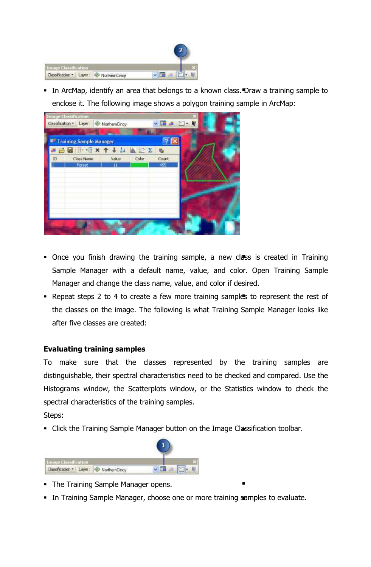

 In ArcMap, identify an area that belongs to a known class. Draw a training sample to enclose it. The following image shows a polygon training sample in ArcMap:

| <b>Image Classification</b> | Classification + Layer: WorthernCincy |       |       | VER Y-R |  |
|-----------------------------|---------------------------------------|-------|-------|---------|--|
| Training Sample Manager     |                                       |       |       |         |  |
|                             | <b>BBCXTINAZE</b>                     |       |       |         |  |
| Class Name<br>ID            | Value                                 | Color | Count |         |  |
| Forest                      |                                       |       | 455   |         |  |
|                             |                                       |       |       |         |  |
|                             |                                       |       |       |         |  |

- Once you finish drawing the training sample, a new class is created in Training Sample Manager with a default name, value, and color. Open Training Sample Manager and change the class name, value, and color if desired.
- Repeat steps 2 to 4 to create a few more training samples to represent the rest of the classes on the image. The following is what Training Sample Manager looks like after five classes are created:

## **Evaluating training samples**

To make sure that the classes represented by the training samples are distinguishable, their spectral characteristics need to be checked and compared. Use the Histograms window, the Scatterplots window, or the Statistics window to check the spectral characteristics of the training samples.

Steps:

• Click the Training Sample Manager button on the Image Classification toolbar.



- **The Training Sample Manager opens.**
- In Training Sample Manager, choose one or more training samples to evaluate.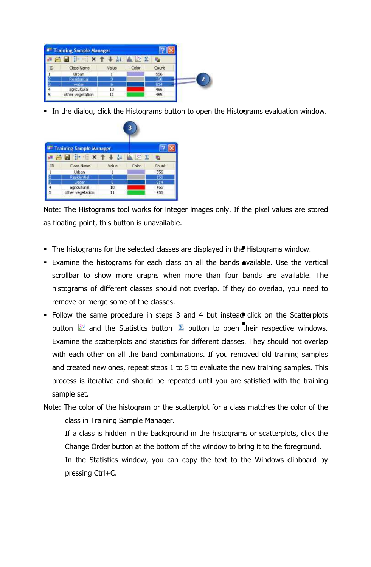|    | Training Sample Manager              |       |             |       |  |
|----|--------------------------------------|-------|-------------|-------|--|
|    | $\mathbf{B} \mathbf{X}$<br><b>PH</b> |       | <b>SING</b> |       |  |
| ID | Class Name                           | Value | Color       | Count |  |
|    | Urban                                |       |             | 556   |  |
|    | Residential                          |       |             | ISO   |  |
|    | water                                |       |             | 814   |  |
|    | agricultural                         | 10    |             | 466   |  |
|    | other vegetation                     | 11    |             | 455   |  |

In the dialog, click the Histograms button to open the Histograms evaluation window.

| <b>B Training Sample Manager</b> |                  |        |                |       |
|----------------------------------|------------------|--------|----------------|-------|
| $\bullet$ $\bullet$ $\bullet$    | $H +$            |        | $\mathbb{R}$ 5 |       |
| ID                               | Class Name       | Value. | Color          | Count |
|                                  | Urban            |        |                | 556   |
|                                  | Residential      |        |                | 150   |
|                                  | water            | ь      |                | 814   |
|                                  | agricultural     | 10     |                | 466   |
| 5                                | other vegetation | 11     |                | 455   |

Note: The Histograms tool works for integer images only. If the pixel values are stored as floating point, this button is unavailable.

- The histograms for the selected classes are displayed in the Histograms window.
- Examine the histograms for each class on all the bands available. Use the vertical scrollbar to show more graphs when more than four bands are available. The histograms of different classes should not overlap. If they do overlap, you need to remove or merge some of the classes.
- Follow the same procedure in steps 3 and 4 but instead click on the Scatterplots button  $\mathbb{Z}$  and the Statistics button  $\Sigma$  button to open their respective windows. Examine the scatterplots and statistics for different classes. They should not overlap with each other on all the band combinations. If you removed old training samples and created new ones, repeat steps 1 to 5 to evaluate the new training samples. This process is iterative and should be repeated until you are satisfied with the training sample set.
- Note: The color of the histogram or the scatterplot for a class matches the color of the class in Training Sample Manager.

If a class is hidden in the background in the histograms or scatterplots, click the Change Order button at the bottom of the window to bring it to the foreground.

In the Statistics window, you can copy the text to the Windows clipboard by pressing Ctrl+C.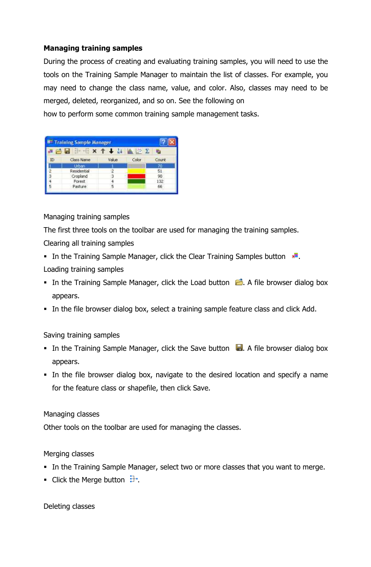## **Managing training samples**

During the process of creating and evaluating training samples, you will need to use the tools on the Training Sample Manager to maintain the list of classes. For example, you may need to change the class name, value, and color. Also, classes may need to be merged, deleted, reorganized, and so on. See the following on

how to perform some common training sample management tasks.

|    | <b>B<sup>III</sup> Training Sample Manager</b> |       |       |             |  |
|----|------------------------------------------------|-------|-------|-------------|--|
|    | ы                                              |       | ▲ 於 ∑ | <b>ICar</b> |  |
| ID | Class Name                                     | Value | Color | Count       |  |
|    | Urban.                                         |       |       | 70          |  |
|    | Residential                                    |       |       | 51          |  |
|    | Cropland                                       |       |       | 90          |  |
|    | Forest                                         |       |       | 132         |  |
|    | Pasture                                        |       |       | 66          |  |

## Managing training samples

The first three tools on the toolbar are used for managing the training samples.

## Clearing all training samples

- In the Training Sample Manager, click the Clear Training Samples button  $\mathbf{r}$ . Loading training samples
- In the Training Sample Manager, click the Load button  $\Box$ . A file browser dialog box appears.
- In the file browser dialog box, select a training sample feature class and click Add.

## Saving training samples

- In the Training Sample Manager, click the Save button  $\Box$ . A file browser dialog box appears.
- In the file browser dialog box, navigate to the desired location and specify a name for the feature class or shapefile, then click Save.

### Managing classes

Other tools on the toolbar are used for managing the classes.

## Merging classes

- In the Training Sample Manager, select two or more classes that you want to merge.
- **Click the Merge button**  $\mathbf{F}$ .

### Deleting classes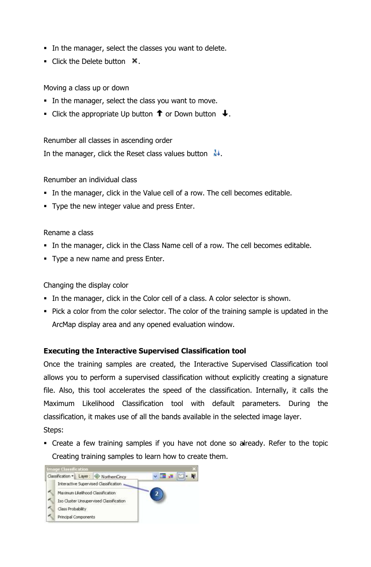- In the manager, select the classes you want to delete.
- Click the Delete button  $\mathbf{\times}$ .

Moving a class up or down

- In the manager, select the class you want to move.
- Click the appropriate Up button  $\uparrow$  or Down button  $\downarrow$ .

Renumber all classes in ascending order

In the manager, click the Reset class values button  $\mathbf{N}^{\downarrow}$ .

Renumber an individual class

- In the manager, click in the Value cell of a row. The cell becomes editable.
- Type the new integer value and press Enter.

Rename a class

- In the manager, click in the Class Name cell of a row. The cell becomes editable.
- **Type a new name and press Enter.**

Changing the display color

- In the manager, click in the Color cell of a class. A color selector is shown.
- Pick a color from the color selector. The color of the training sample is updated in the ArcMap display area and any opened evaluation window.

## **Executing the Interactive Supervised Classification tool**

Once the training samples are created, the Interactive Supervised Classification tool allows you to perform a supervised classification without explicitly creating a signature file. Also, this tool accelerates the speed of the classification. Internally, it calls the Maximum Likelihood Classification tool with default parameters. During the classification, it makes use of all the bands available in the selected image layer.

Steps:

 Create a few training samples if you have not done so already. Refer to the topic Creating training samples to learn how to create them.

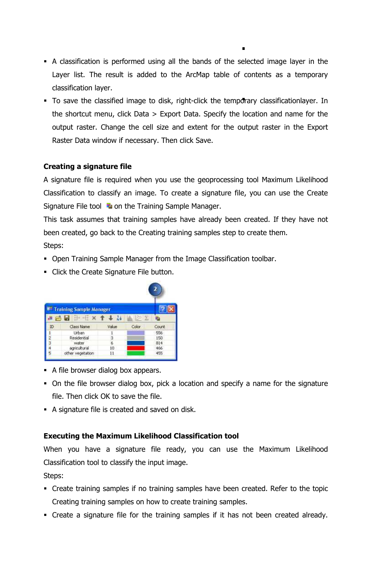- A classification is performed using all the bands of the selected image layer in the Layer list. The result is added to the ArcMap table of contents as a temporary classification layer.
- To save the classified image to disk, right-click the temporary classificationlayer. In the shortcut menu, click Data > Export Data. Specify the location and name for the output raster. Change the cell size and extent for the output raster in the Export Raster Data window if necessary. Then click Save.

## **Creating a signature file**

A signature file is required when you use the geoprocessing tool Maximum Likelihood Classification to classify an image. To create a signature file, you can use the Create Signature File tool  $\Box$  on the Training Sample Manager.

This task assumes that training samples have already been created. If they have not been created, go back to the Creating training samples step to create them.

Steps:

- Open Training Sample Manager from the Image Classification toolbar.
- **Click the Create Signature File button.**

|    | <b>Training Sample Manager</b>                                                                                                                                                                                                                                                                                                                                                                               |       |       |        |
|----|--------------------------------------------------------------------------------------------------------------------------------------------------------------------------------------------------------------------------------------------------------------------------------------------------------------------------------------------------------------------------------------------------------------|-------|-------|--------|
|    | 吊回<br>$\frac{1}{2} \left( \frac{1}{2} + \frac{1}{2} + \frac{1}{2} + \frac{1}{2} + \frac{1}{2} + \frac{1}{2} + \frac{1}{2} + \frac{1}{2} + \frac{1}{2} + \frac{1}{2} + \frac{1}{2} + \frac{1}{2} + \frac{1}{2} + \frac{1}{2} + \frac{1}{2} + \frac{1}{2} + \frac{1}{2} + \frac{1}{2} + \frac{1}{2} + \frac{1}{2} + \frac{1}{2} + \frac{1}{2} + \frac{1}{2} + \frac{1}{2} + \frac{1}{2} + \frac{1}{2} + \frac$ |       |       |        |
| ID | Class Name                                                                                                                                                                                                                                                                                                                                                                                                   | Value | Color | Count: |
|    | Urban                                                                                                                                                                                                                                                                                                                                                                                                        |       |       | 556    |
|    | Residential                                                                                                                                                                                                                                                                                                                                                                                                  | з     |       | 150    |
|    | water                                                                                                                                                                                                                                                                                                                                                                                                        | 6     |       | 814    |
|    | agricultural                                                                                                                                                                                                                                                                                                                                                                                                 | IŬ    |       | 466    |
|    | other vegetation                                                                                                                                                                                                                                                                                                                                                                                             | 11    |       | 455    |

- A file browser dialog box appears.
- On the file browser dialog box, pick a location and specify a name for the signature file. Then click OK to save the file.
- A signature file is created and saved on disk.

## **Executing the Maximum Likelihood Classification tool**

When you have a signature file ready, you can use the Maximum Likelihood Classification tool to classify the input image.

Steps:

- Create training samples if no training samples have been created. Refer to the topic Creating training samples on how to create training samples.
- Create a signature file for the training samples if it has not been created already.